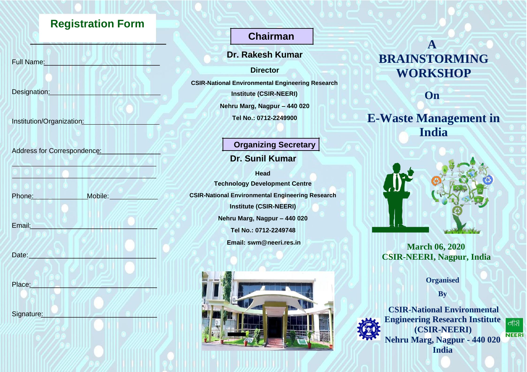# **Registration Form**

Full Name:

Designation:

Institution/Organization:

Address for Correspondence:

| Phone: | Mobile: |
|--------|---------|
|        |         |
|        |         |
| Email: |         |

Date:

Place:

Signature:

# **Chairman**

**Dr. Rakesh Kumar**

**Director**

**CSIR-National Environmental Engineering Research**

**Institute (CSIR-NEERI)**

**Nehru Marg, Nagpur – 440 020**

**Tel No.: 0712-2249900**

## **Organizing Secretary**

## **Dr. Sunil Kumar**

**Head Technology Development Centre CSIR-National Environmental Engineering Research Institute (CSIR-NEERI) Nehru Marg, Nagpur – 440 020 Tel No.: 0712-2249748 Email: [swm@neeri.res.in](mailto:swm@neeri.res.in)**



# **A BRAINSTORMING WORKSHOP**

**On**

# **E-Waste Management in India**



**March 06, 2020 CSIR-NEERI, Nagpur, India**

**Organised**

**By**



**Engineering Research Institute (CSIR-NEERI) Nehru Marg, Nagpur - 440 020 India**